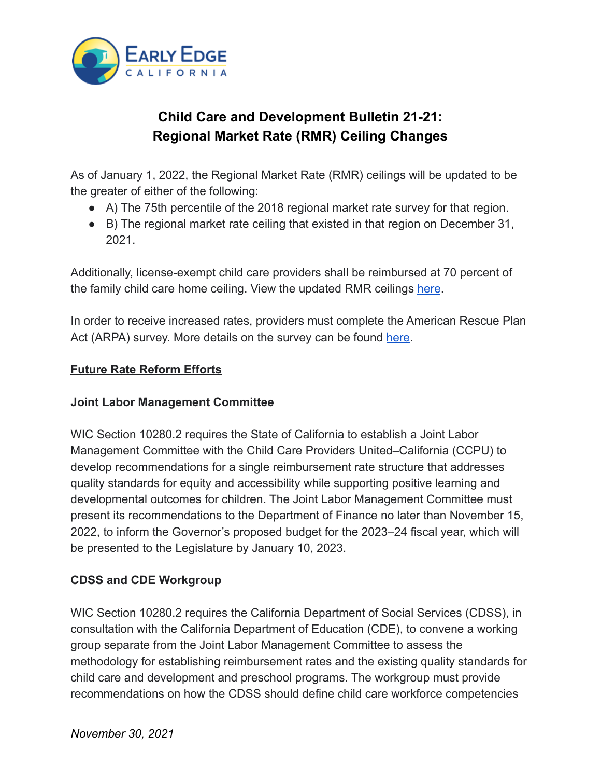

# **Child Care and Development Bulletin 21-21: Regional Market Rate (RMR) Ceiling Changes**

As of January 1, 2022, the Regional Market Rate (RMR) ceilings will be updated to be the greater of either of the following:

- A) The 75th percentile of the 2018 regional market rate survey for that region.
- B) The regional market rate ceiling that existed in that region on December 31, 2021.

Additionally, license-exempt child care providers shall be reimbursed at 70 percent of the family child care home ceiling. View the updated RMR ceilings [here](https://rcscc.adm.dss.ca.gov/).

In order to receive increased rates, providers must complete the American Rescue Plan Act (ARPA) survey. More details on the survey can be found [here.](https://cdss.ca.gov/inforesources/child-care-and-development/american-rescue-plan-act-survey)

## **Future Rate Reform Efforts**

#### **Joint Labor Management Committee**

WIC Section 10280.2 requires the State of California to establish a Joint Labor Management Committee with the Child Care Providers United–California (CCPU) to develop recommendations for a single reimbursement rate structure that addresses quality standards for equity and accessibility while supporting positive learning and developmental outcomes for children. The Joint Labor Management Committee must present its recommendations to the Department of Finance no later than November 15, 2022, to inform the Governor's proposed budget for the 2023–24 fiscal year, which will be presented to the Legislature by January 10, 2023.

## **CDSS and CDE Workgroup**

WIC Section 10280.2 requires the California Department of Social Services (CDSS), in consultation with the California Department of Education (CDE), to convene a working group separate from the Joint Labor Management Committee to assess the methodology for establishing reimbursement rates and the existing quality standards for child care and development and preschool programs. The workgroup must provide recommendations on how the CDSS should define child care workforce competencies